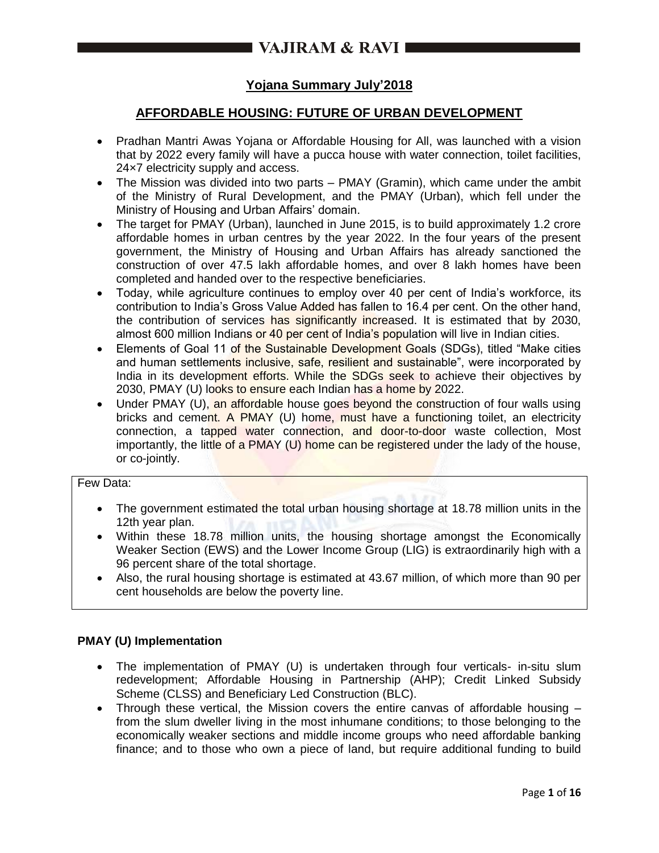# **Yojana Summary July'2018**

# **AFFORDABLE HOUSING: FUTURE OF URBAN DEVELOPMENT**

- Pradhan Mantri Awas Yojana or Affordable Housing for All, was launched with a vision that by 2022 every family will have a pucca house with water connection, toilet facilities, 24×7 electricity supply and access.
- The Mission was divided into two parts PMAY (Gramin), which came under the ambit of the Ministry of Rural Development, and the PMAY (Urban), which fell under the Ministry of Housing and Urban Affairs' domain.
- The target for PMAY (Urban), launched in June 2015, is to build approximately 1.2 crore affordable homes in urban centres by the year 2022. In the four years of the present government, the Ministry of Housing and Urban Affairs has already sanctioned the construction of over 47.5 lakh affordable homes, and over 8 lakh homes have been completed and handed over to the respective beneficiaries.
- Today, while agriculture continues to employ over 40 per cent of India's workforce, its contribution to India's Gross Value Added has fallen to 16.4 per cent. On the other hand, the contribution of services has significantly increased. It is estimated that by 2030, almost 600 million Indians or 40 per cent of India's population will live in Indian cities.
- Elements of Goal 11 of the Sustainable Development Goals (SDGs), titled "Make cities and human settlements inclusive, safe, resilient and sustainable", were incorporated by India in its development efforts. While the SDGs seek to achieve their objectives by 2030, PMAY (U) looks to ensure each Indian has a home by 2022.
- Under PMAY (U), an affordable house goes beyond the construction of four walls using bricks and cement. A PMAY (U) home, must have a functioning toilet, an electricity connection, a tapped water connection, and door-to-door waste collection, Most importantly, the little of a PMAY (U) home can be registered under the lady of the house, or co-jointly.

# Few Data:

- The government estimated the total urban housing shortage at 18.78 million units in the 12th year plan.
- Within these 18.78 million units, the housing shortage amongst the Economically Weaker Section (EWS) and the Lower Income Group (LIG) is extraordinarily high with a 96 percent share of the total shortage.
- Also, the rural housing shortage is estimated at 43.67 million, of which more than 90 per cent households are below the poverty line.

# **PMAY (U) Implementation**

- The implementation of PMAY (U) is undertaken through four verticals- in-situ slum redevelopment; Affordable Housing in Partnership (AHP); Credit Linked Subsidy Scheme (CLSS) and Beneficiary Led Construction (BLC).
- Through these vertical, the Mission covers the entire canvas of affordable housing from the slum dweller living in the most inhumane conditions; to those belonging to the economically weaker sections and middle income groups who need affordable banking finance; and to those who own a piece of land, but require additional funding to build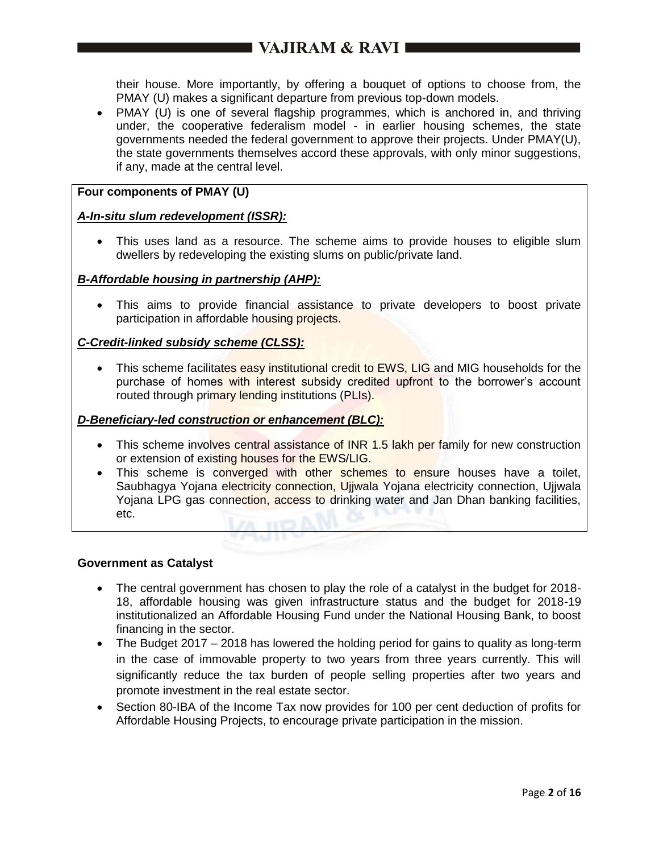# $\blacksquare$  VAJIRAM & RAVI $\blacksquare$

their house. More importantly, by offering a bouquet of options to choose from, the PMAY (U) makes a significant departure from previous top-down models.

• PMAY (U) is one of several flagship programmes, which is anchored in, and thriving under, the cooperative federalism model - in earlier housing schemes, the state governments needed the federal government to approve their projects. Under PMAY(U), the state governments themselves accord these approvals, with only minor suggestions, if any, made at the central level.

# **Four components of PMAY (U)**

# *A-In-situ slum redevelopment (ISSR):*

 This uses land as a resource. The scheme aims to provide houses to eligible slum dwellers by redeveloping the existing slums on public/private land.

# *B-Affordable housing in partnership (AHP):*

 This aims to provide financial assistance to private developers to boost private participation in affordable housing projects.

# *C-Credit-linked subsidy scheme (CLSS):*

• This scheme facilitates easy institutional credit to EWS, LIG and MIG households for the purchase of homes with interest subsidy credited upfront to the borrower's account routed through primary lending institutions (PLIs).

## *D-Beneficiary-led construction or enhancement (BLC):*

- This scheme involves central assistance of INR 1.5 lakh per family for new construction or extension of existing houses for the EWS/LIG.
- This scheme is converged with other schemes to ensure houses have a toilet, Saubhagya Yojana electricity connection, Ujjwala Yojana electricity connection, Ujjwala Yoiana LPG gas connection, access to drinking water and Jan Dhan banking facilities, etc. A IDAY

## **Government as Catalyst**

- The central government has chosen to play the role of a catalyst in the budget for 2018- 18, affordable housing was given infrastructure status and the budget for 2018-19 institutionalized an Affordable Housing Fund under the National Housing Bank, to boost financing in the sector.
- The Budget 2017 2018 has lowered the holding period for gains to quality as long-term in the case of immovable property to two years from three years currently. This will significantly reduce the tax burden of people selling properties after two years and promote investment in the real estate sector.
- Section 80-IBA of the Income Tax now provides for 100 per cent deduction of profits for Affordable Housing Projects, to encourage private participation in the mission.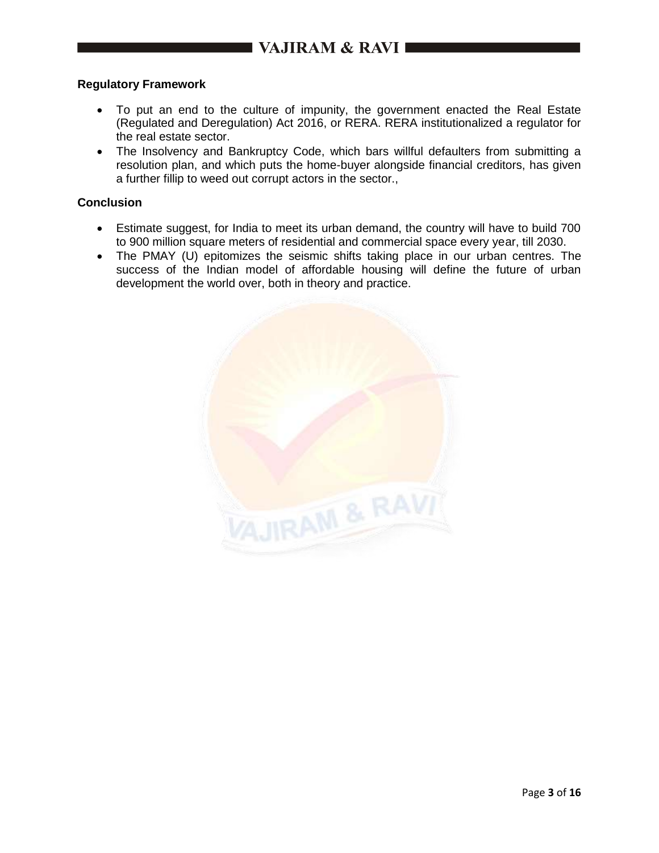# **Regulatory Framework**

- To put an end to the culture of impunity, the government enacted the Real Estate (Regulated and Deregulation) Act 2016, or RERA. RERA institutionalized a regulator for the real estate sector.
- The Insolvency and Bankruptcy Code, which bars willful defaulters from submitting a resolution plan, and which puts the home-buyer alongside financial creditors, has given a further fillip to weed out corrupt actors in the sector.,

# **Conclusion**

- Estimate suggest, for India to meet its urban demand, the country will have to build 700 to 900 million square meters of residential and commercial space every year, till 2030.
- The PMAY (U) epitomizes the seismic shifts taking place in our urban centres. The success of the Indian model of affordable housing will define the future of urban development the world over, both in theory and practice.

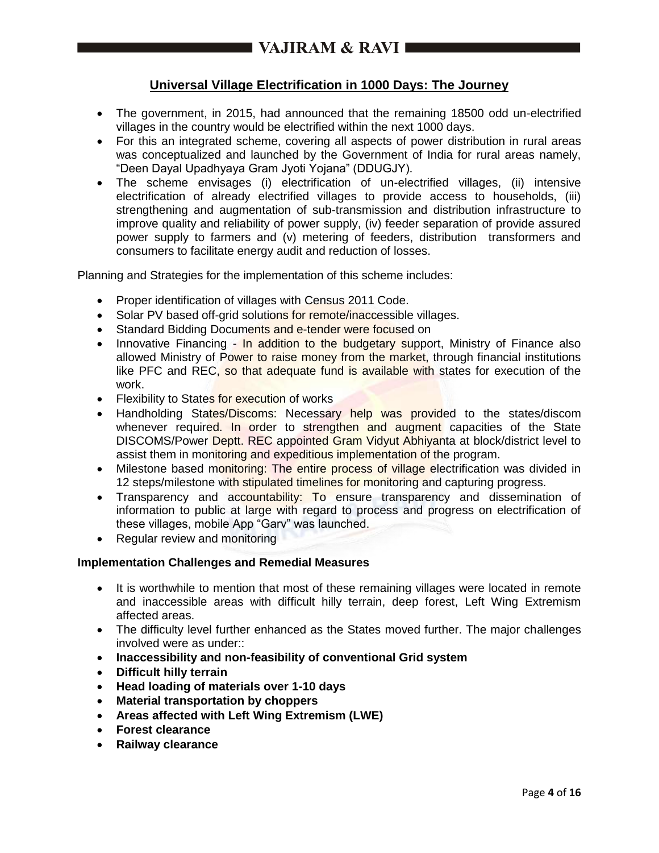# **Universal Village Electrification in 1000 Days: The Journey**

- The government, in 2015, had announced that the remaining 18500 odd un-electrified villages in the country would be electrified within the next 1000 days.
- For this an integrated scheme, covering all aspects of power distribution in rural areas was conceptualized and launched by the Government of India for rural areas namely, "Deen Dayal Upadhyaya Gram Jyoti Yojana" (DDUGJY).
- The scheme envisages (i) electrification of un-electrified villages, (ii) intensive electrification of already electrified villages to provide access to households, (iii) strengthening and augmentation of sub-transmission and distribution infrastructure to improve quality and reliability of power supply, (iv) feeder separation of provide assured power supply to farmers and (v) metering of feeders, distribution transformers and consumers to facilitate energy audit and reduction of losses.

Planning and Strategies for the implementation of this scheme includes:

- Proper identification of villages with Census 2011 Code.
- Solar PV based off-grid solutions for remote/inaccessible villages.
- Standard Bidding Documents and e-tender were focused on
- Innovative Financing In addition to the budgetary support, Ministry of Finance also allowed Ministry of Power to raise money from the market, through financial institutions like PFC and REC, so that adequate fund is available with states for execution of the work.
- Flexibility to States for execution of works
- Handholding States/Discoms: Necessary help was provided to the states/discom whenever required. In order to strengthen and augment capacities of the State DISCOMS/Power Deptt. REC appointed Gram Vidyut Abhiyanta at block/district level to assist them in monitoring and expeditious implementation of the program.
- Milestone based monitoring: The entire process of village electrification was divided in 12 steps/milestone with stipulated timelines for monitoring and capturing progress.
- Transparency and accountability: To ensure transparency and dissemination of information to public at large with regard to process and progress on electrification of these villages, mobile App "Garv" was launched.
- Regular review and monitoring

# **Implementation Challenges and Remedial Measures**

- It is worthwhile to mention that most of these remaining villages were located in remote and inaccessible areas with difficult hilly terrain, deep forest, Left Wing Extremism affected areas.
- The difficulty level further enhanced as the States moved further. The major challenges involved were as under::
- **Inaccessibility and non-feasibility of conventional Grid system**
- **Difficult hilly terrain**
- **Head loading of materials over 1-10 days**
- **Material transportation by choppers**
- **Areas affected with Left Wing Extremism (LWE)**
- **Forest clearance**
- **Railway clearance**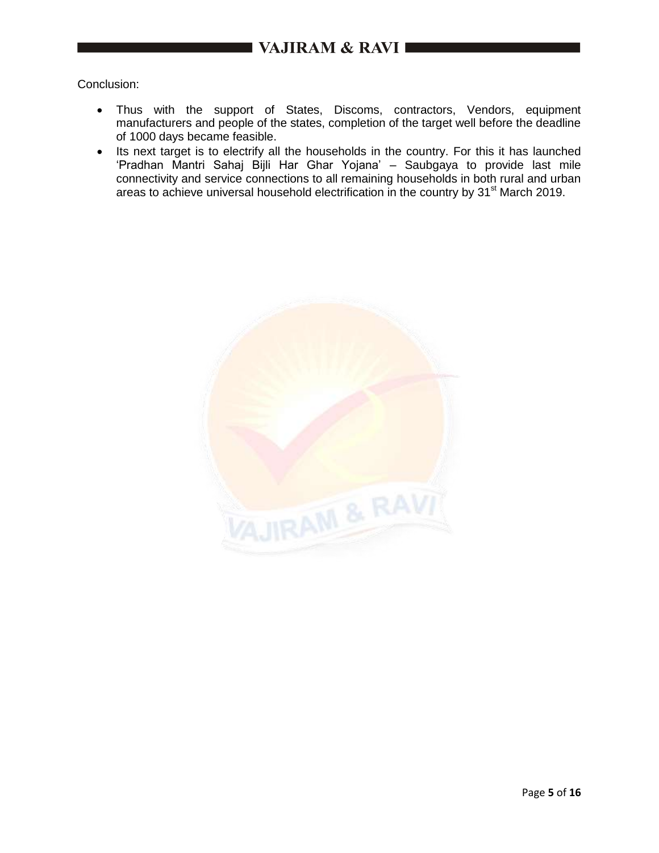# VAJIRAM & RAVI

Conclusion:

- Thus with the support of States, Discoms, contractors, Vendors, equipment manufacturers and people of the states, completion of the target well before the deadline of 1000 days became feasible.
- Its next target is to electrify all the households in the country. For this it has launched 'Pradhan Mantri Sahaj Bijli Har Ghar Yojana' – Saubgaya to provide last mile connectivity and service connections to all remaining households in both rural and urban areas to achieve universal household electrification in the country by 31<sup>st</sup> March 2019.

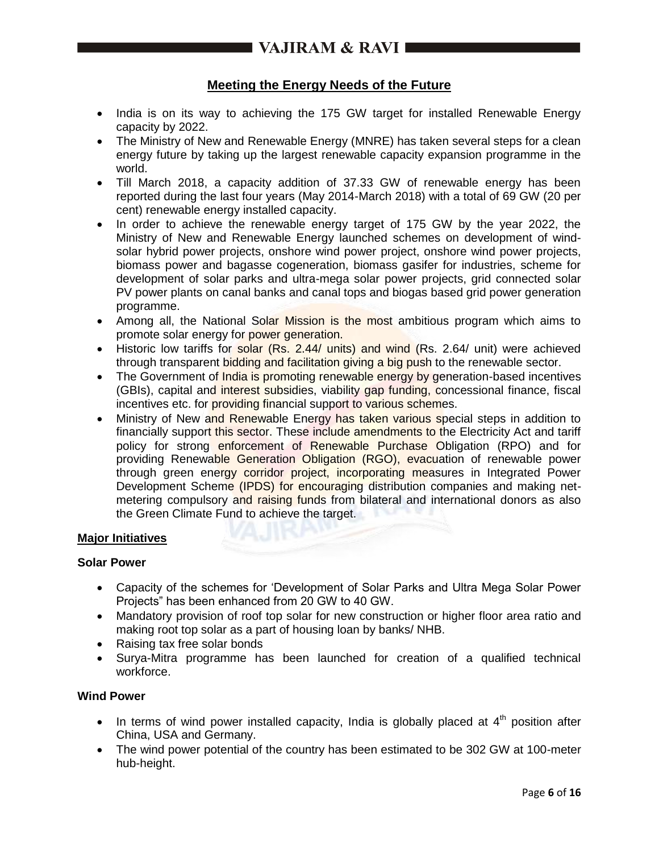# **Meeting the Energy Needs of the Future**

- India is on its way to achieving the 175 GW target for installed Renewable Energy capacity by 2022.
- The Ministry of New and Renewable Energy (MNRE) has taken several steps for a clean energy future by taking up the largest renewable capacity expansion programme in the world.
- Till March 2018, a capacity addition of 37.33 GW of renewable energy has been reported during the last four years (May 2014-March 2018) with a total of 69 GW (20 per cent) renewable energy installed capacity.
- In order to achieve the renewable energy target of 175 GW by the year 2022, the Ministry of New and Renewable Energy launched schemes on development of windsolar hybrid power projects, onshore wind power project, onshore wind power projects, biomass power and bagasse cogeneration, biomass gasifer for industries, scheme for development of solar parks and ultra-mega solar power projects, grid connected solar PV power plants on canal banks and canal tops and biogas based grid power generation programme.
- Among all, the National Solar Mission is the most ambitious program which aims to promote solar energy for power generation.
- Historic low tariffs for solar (Rs. 2.44/ units) and wind (Rs. 2.64/ unit) were achieved through transparent bidding and facilitation giving a big push to the renewable sector.
- The Government of *India is promoting renewable energy by generation-based incentives* (GBIs), capital and interest subsidies, viability gap funding, concessional finance, fiscal incentives etc. for providing financial support to various schemes.
- Ministry of New and Renewable Energy has taken various special steps in addition to financially support this sector. These include amendments to the Electricity Act and tariff policy for strong enforcement of Renewable Purchase Obligation (RPO) and for providing Renewable Generation Obligation (RGO), evacuation of renewable power through green energy corridor project, incorporating measures in Integrated Power Development Scheme (IPDS) for encouraging distribution companies and making netmetering compulsory and raising funds from bilateral and international donors as also the Green Climate Fund to achieve the target.

# **Major Initiatives**

## **Solar Power**

- Capacity of the schemes for 'Development of Solar Parks and Ultra Mega Solar Power Projects" has been enhanced from 20 GW to 40 GW.
- Mandatory provision of roof top solar for new construction or higher floor area ratio and making root top solar as a part of housing loan by banks/ NHB.
- Raising tax free solar bonds
- Surya-Mitra programme has been launched for creation of a qualified technical workforce.

## **Wind Power**

- In terms of wind power installed capacity, India is globally placed at  $4<sup>th</sup>$  position after China, USA and Germany.
- The wind power potential of the country has been estimated to be 302 GW at 100-meter hub-height.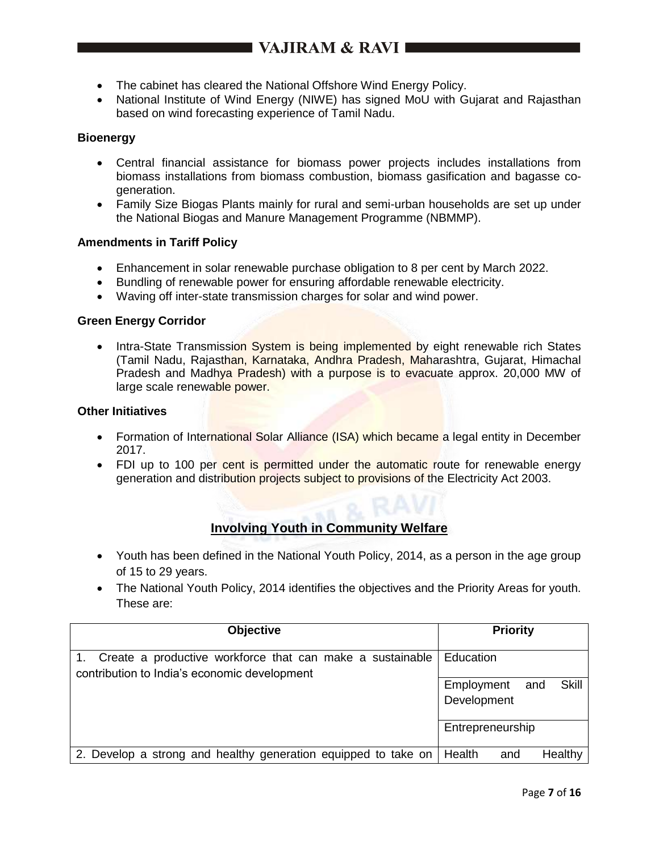- The cabinet has cleared the National Offshore Wind Energy Policy.
- National Institute of Wind Energy (NIWE) has signed MoU with Gujarat and Rajasthan based on wind forecasting experience of Tamil Nadu.

# **Bioenergy**

- Central financial assistance for biomass power projects includes installations from biomass installations from biomass combustion, biomass gasification and bagasse cogeneration.
- Family Size Biogas Plants mainly for rural and semi-urban households are set up under the National Biogas and Manure Management Programme (NBMMP).

# **Amendments in Tariff Policy**

- Enhancement in solar renewable purchase obligation to 8 per cent by March 2022.
- Bundling of renewable power for ensuring affordable renewable electricity.
- Waving off inter-state transmission charges for solar and wind power.

## **Green Energy Corridor**

• Intra-State Transmission System is being implemented by eight renewable rich States (Tamil Nadu, Rajasthan, Karnataka, Andhra Pradesh, Maharashtra, Gujarat, Himachal Pradesh and Madhya Pradesh) with a purpose is to evacuate approx. 20,000 MW of large scale renewable power.

#### **Other Initiatives**

- Formation of International Solar Alliance (ISA) which became a legal entity in December 2017.
- FDI up to 100 per cent is permitted under the automatic route for renewable energy generation and distribution projects subject to provisions of the Electricity Act 2003.

# **Involving Youth in Community Welfare**

- Youth has been defined in the National Youth Policy, 2014, as a person in the age group of 15 to 29 years.
- The National Youth Policy, 2014 identifies the objectives and the Priority Areas for youth. These are:

| <b>Objective</b>                                                                                          | <b>Priority</b>                                  |
|-----------------------------------------------------------------------------------------------------------|--------------------------------------------------|
| Create a productive workforce that can make a sustainable<br>contribution to India's economic development | Education                                        |
|                                                                                                           | <b>Skill</b><br>Employment<br>and<br>Development |
|                                                                                                           | Entrepreneurship                                 |
| 2. Develop a strong and healthy generation equipped to take on   Health                                   | Healthy<br>and                                   |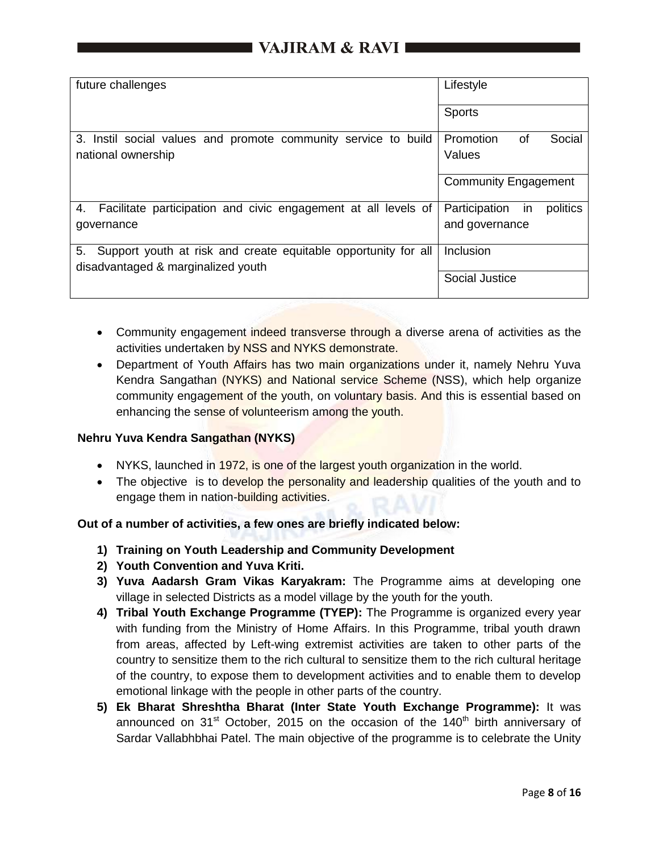| future challenges                                                                                          | Lifestyle                       |
|------------------------------------------------------------------------------------------------------------|---------------------------------|
|                                                                                                            | <b>Sports</b>                   |
| 3. Instil social values and promote community service to build                                             | Social<br>Promotion<br>0f       |
| national ownership                                                                                         | Values                          |
|                                                                                                            | <b>Community Engagement</b>     |
| Facilitate participation and civic engagement at all levels of<br>4.                                       | Participation<br>politics<br>in |
| governance                                                                                                 | and governance                  |
| 5.<br>Support youth at risk and create equitable opportunity for all<br>disadvantaged & marginalized youth | Inclusion                       |
|                                                                                                            | <b>Social Justice</b>           |

- Community engagement indeed transverse through a diverse arena of activities as the activities undertaken by NSS and NYKS demonstrate.
- Department of Youth Affairs has two main organizations under it, namely Nehru Yuva Kendra Sangathan (NYKS) and National service Scheme (NSS), which help organize community engagement of the youth, on voluntary basis. And this is essential based on enhancing the sense of volunteerism among the youth.

# **Nehru Yuva Kendra Sangathan (NYKS)**

- NYKS, launched in 1972, is one of the largest youth organization in the world.
- The objective is to develop the personality and leadership qualities of the youth and to engage them in nation-building activities.

# **Out of a number of activities, a few ones are briefly indicated below:**

- **1) Training on Youth Leadership and Community Development**
- **2) Youth Convention and Yuva Kriti.**
- **3) Yuva Aadarsh Gram Vikas Karyakram:** The Programme aims at developing one village in selected Districts as a model village by the youth for the youth.
- **4) Tribal Youth Exchange Programme (TYEP):** The Programme is organized every year with funding from the Ministry of Home Affairs. In this Programme, tribal youth drawn from areas, affected by Left-wing extremist activities are taken to other parts of the country to sensitize them to the rich cultural to sensitize them to the rich cultural heritage of the country, to expose them to development activities and to enable them to develop emotional linkage with the people in other parts of the country.
- **5) Ek Bharat Shreshtha Bharat (Inter State Youth Exchange Programme):** It was announced on  $31^{st}$  October, 2015 on the occasion of the 140<sup>th</sup> birth anniversary of Sardar Vallabhbhai Patel. The main objective of the programme is to celebrate the Unity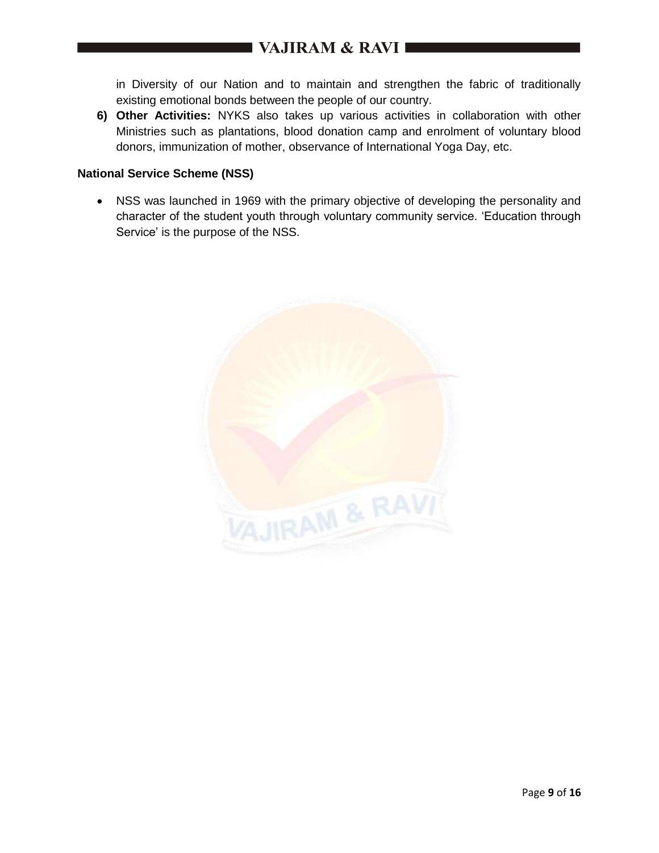in Diversity of our Nation and to maintain and strengthen the fabric of traditionally existing emotional bonds between the people of our country.

**6) Other Activities:** NYKS also takes up various activities in collaboration with other Ministries such as plantations, blood donation camp and enrolment of voluntary blood donors, immunization of mother, observance of International Yoga Day, etc.

# **National Service Scheme (NSS)**

 NSS was launched in 1969 with the primary objective of developing the personality and character of the student youth through voluntary community service. 'Education through Service' is the purpose of the NSS.

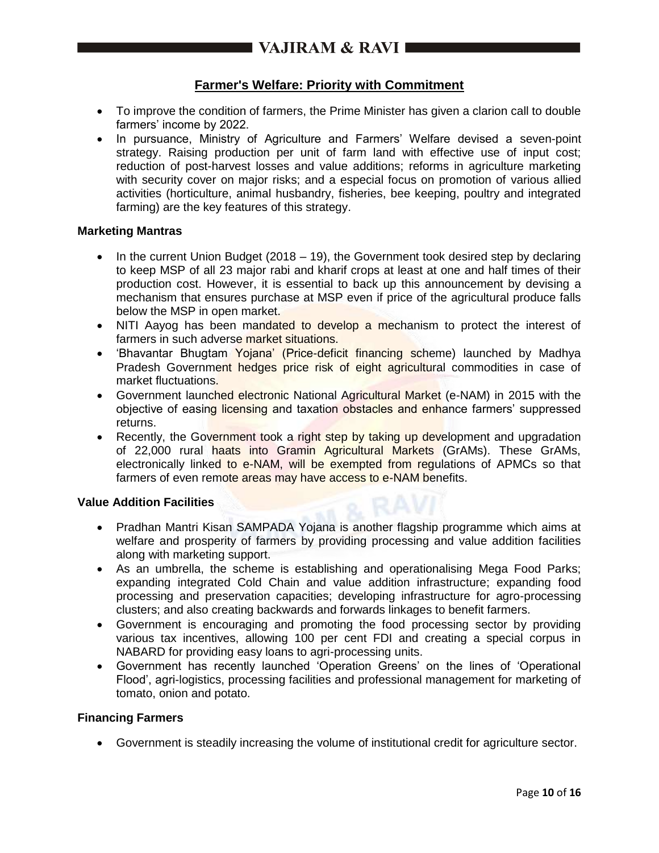# $\blacksquare$  VAJIRAM & RAVI $\blacksquare$

# **Farmer's Welfare: Priority with Commitment**

- To improve the condition of farmers, the Prime Minister has given a clarion call to double farmers' income by 2022.
- In pursuance, Ministry of Agriculture and Farmers' Welfare devised a seven-point strategy. Raising production per unit of farm land with effective use of input cost; reduction of post-harvest losses and value additions; reforms in agriculture marketing with security cover on major risks; and a especial focus on promotion of various allied activities (horticulture, animal husbandry, fisheries, bee keeping, poultry and integrated farming) are the key features of this strategy.

#### **Marketing Mantras**

- In the current Union Budget  $(2018 19)$ , the Government took desired step by declaring to keep MSP of all 23 major rabi and kharif crops at least at one and half times of their production cost. However, it is essential to back up this announcement by devising a mechanism that ensures purchase at MSP even if price of the agricultural produce falls below the MSP in open market.
- NITI Aayog has been mandated to develop a mechanism to protect the interest of farmers in such adverse market situations.
- 'Bhavantar Bhugtam Yojana' (Price-deficit financing scheme) launched by Madhya Pradesh Government hedges price risk of eight agricultural commodities in case of market fluctuations.
- Government launched electronic National Agricultural Market (e-NAM) in 2015 with the objective of easing licensing and taxation obstacles and enhance farmers' suppressed returns.
- Recently, the Government took a right step by taking up development and upgradation of 22,000 rural haats into Gramin Agricultural Markets (GrAMs). These GrAMs, electronically linked to e-NAM, will be exempted from regulations of APMCs so that farmers of even remote areas may have access to e-NAM benefits.

## **Value Addition Facilities**

- Pradhan Mantri Kisan SAMPADA Yojana is another flagship programme which aims at welfare and prosperity of farmers by providing processing and value addition facilities along with marketing support.
- As an umbrella, the scheme is establishing and operationalising Mega Food Parks; expanding integrated Cold Chain and value addition infrastructure; expanding food processing and preservation capacities; developing infrastructure for agro-processing clusters; and also creating backwards and forwards linkages to benefit farmers.
- Government is encouraging and promoting the food processing sector by providing various tax incentives, allowing 100 per cent FDI and creating a special corpus in NABARD for providing easy loans to agri-processing units.
- Government has recently launched 'Operation Greens' on the lines of 'Operational Flood', agri-logistics, processing facilities and professional management for marketing of tomato, onion and potato.

# **Financing Farmers**

Government is steadily increasing the volume of institutional credit for agriculture sector.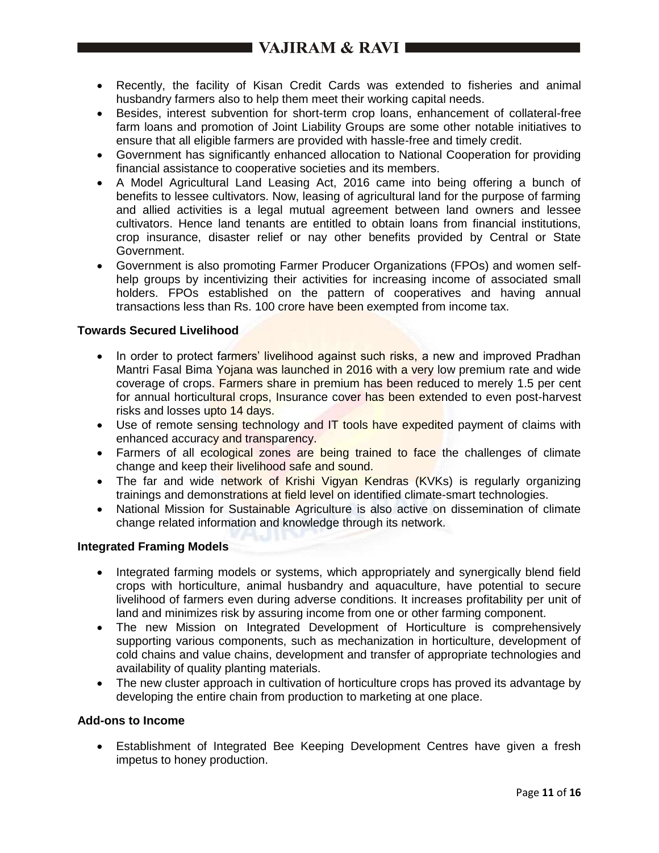# VAJIRAM & RAVI

- Recently, the facility of Kisan Credit Cards was extended to fisheries and animal husbandry farmers also to help them meet their working capital needs.
- Besides, interest subvention for short-term crop loans, enhancement of collateral-free farm loans and promotion of Joint Liability Groups are some other notable initiatives to ensure that all eligible farmers are provided with hassle-free and timely credit.
- Government has significantly enhanced allocation to National Cooperation for providing financial assistance to cooperative societies and its members.
- A Model Agricultural Land Leasing Act, 2016 came into being offering a bunch of benefits to lessee cultivators. Now, leasing of agricultural land for the purpose of farming and allied activities is a legal mutual agreement between land owners and lessee cultivators. Hence land tenants are entitled to obtain loans from financial institutions, crop insurance, disaster relief or nay other benefits provided by Central or State Government.
- Government is also promoting Farmer Producer Organizations (FPOs) and women selfhelp groups by incentivizing their activities for increasing income of associated small holders. FPOs established on the pattern of cooperatives and having annual transactions less than Rs. 100 crore have been exempted from income tax.

## **Towards Secured Livelihood**

- In order to protect farmers' livelihood against such risks, a new and improved Pradhan Mantri Fasal Bima Yojana was launched in 2016 with a very low premium rate and wide coverage of crops. Farmers share in premium has been reduced to merely 1.5 per cent for annual horticultural crops, Insurance cover has been extended to even post-harvest risks and losses upto 14 days.
- Use of remote sensing technology and IT tools have expedited payment of claims with enhanced accuracy and transparency.
- Farmers of all ecological zones are being trained to face the challenges of climate change and keep their livelihood safe and sound.
- The far and wide network of Krishi Vigyan Kendras (KVKs) is regularly organizing trainings and demonstrations at field level on identified climate-smart technologies.
- National Mission for Sustainable Agriculture is also active on dissemination of climate change related information and knowledge through its network.

## **Integrated Framing Models**

- Integrated farming models or systems, which appropriately and synergically blend field crops with horticulture, animal husbandry and aquaculture, have potential to secure livelihood of farmers even during adverse conditions. It increases profitability per unit of land and minimizes risk by assuring income from one or other farming component.
- The new Mission on Integrated Development of Horticulture is comprehensively supporting various components, such as mechanization in horticulture, development of cold chains and value chains, development and transfer of appropriate technologies and availability of quality planting materials.
- The new cluster approach in cultivation of horticulture crops has proved its advantage by developing the entire chain from production to marketing at one place.

## **Add-ons to Income**

 Establishment of Integrated Bee Keeping Development Centres have given a fresh impetus to honey production.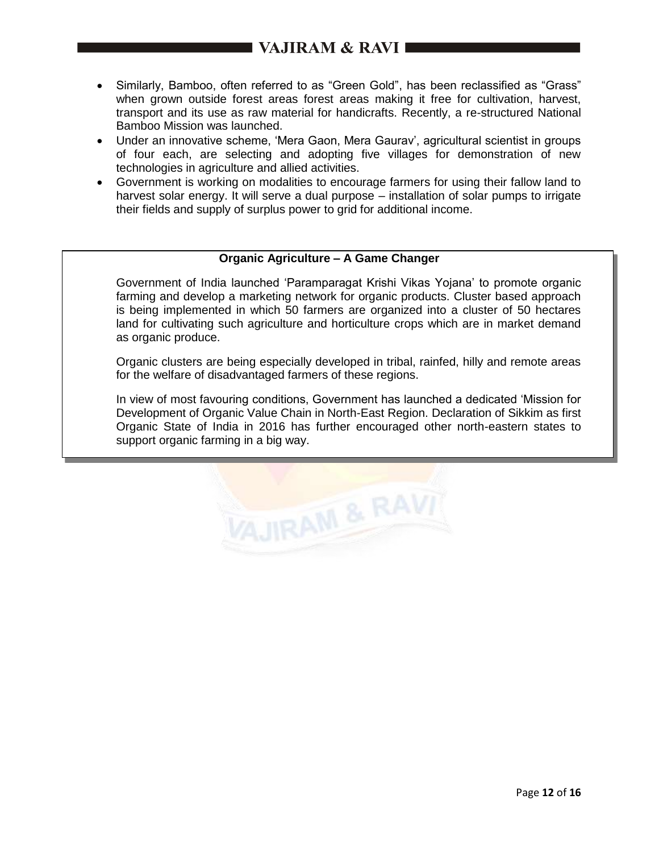- Similarly, Bamboo, often referred to as "Green Gold", has been reclassified as "Grass" when grown outside forest areas forest areas making it free for cultivation, harvest, transport and its use as raw material for handicrafts. Recently, a re-structured National Bamboo Mission was launched.
- Under an innovative scheme, 'Mera Gaon, Mera Gaurav', agricultural scientist in groups of four each, are selecting and adopting five villages for demonstration of new technologies in agriculture and allied activities.
- Government is working on modalities to encourage farmers for using their fallow land to harvest solar energy. It will serve a dual purpose – installation of solar pumps to irrigate their fields and supply of surplus power to grid for additional income.

# **Organic Agriculture – A Game Changer**

Government of India launched 'Paramparagat Krishi Vikas Yojana' to promote organic farming and develop a marketing network for organic products. Cluster based approach is being implemented in which 50 farmers are organized into a cluster of 50 hectares land for cultivating such agriculture and horticulture crops which are in market demand as organic produce.

Organic clusters are being especially developed in tribal, rainfed, hilly and remote areas for the welfare of disadvantaged farmers of these regions.

In view of most favouring conditions, Government has launched a dedicated 'Mission for Development of Organic Value Chain in North-East Region. Declaration of Sikkim as first Organic State of India in 2016 has further encouraged other north-eastern states to support organic farming in a big way.

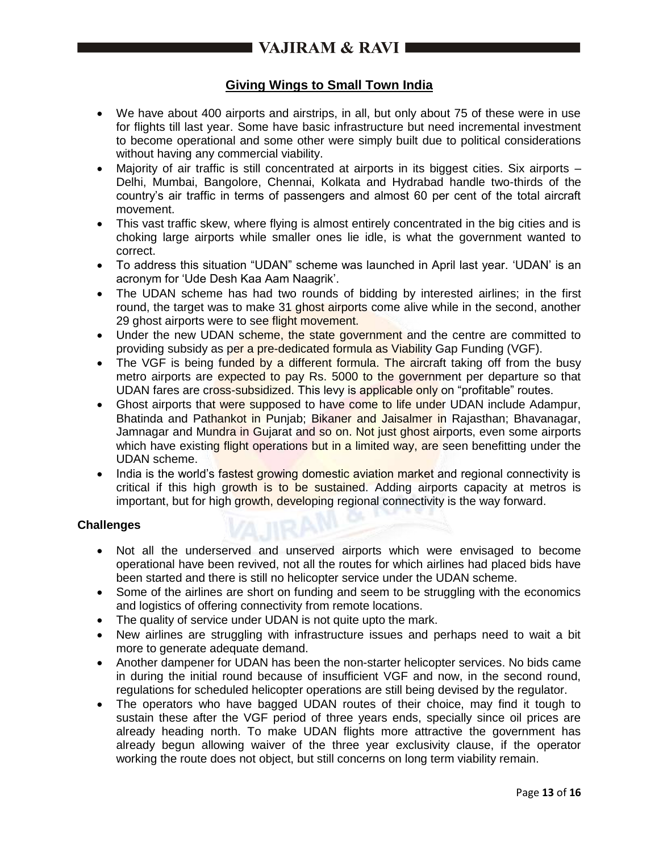# **Giving Wings to Small Town India**

- We have about 400 airports and airstrips, in all, but only about 75 of these were in use for flights till last year. Some have basic infrastructure but need incremental investment to become operational and some other were simply built due to political considerations without having any commercial viability.
- Maiority of air traffic is still concentrated at airports in its biggest cities. Six airports -Delhi, Mumbai, Bangolore, Chennai, Kolkata and Hydrabad handle two-thirds of the country's air traffic in terms of passengers and almost 60 per cent of the total aircraft movement.
- This vast traffic skew, where flying is almost entirely concentrated in the big cities and is choking large airports while smaller ones lie idle, is what the government wanted to correct.
- To address this situation "UDAN" scheme was launched in April last year. 'UDAN' is an acronym for 'Ude Desh Kaa Aam Naagrik'.
- The UDAN scheme has had two rounds of bidding by interested airlines; in the first round, the target was to make 31 ghost airports come alive while in the second, another 29 ghost airports were to see flight movement.
- Under the new UDAN scheme, the state government and the centre are committed to providing subsidy as per a pre-dedicated formula as Viability Gap Funding (VGF).
- The VGF is being funded by a different formula. The aircraft taking off from the busy metro airports are expected to pay Rs. 5000 to the government per departure so that UDAN fares are cross-subsidized. This levy is applicable only on "profitable" routes.
- Ghost airports that were supposed to have come to life under UDAN include Adampur, Bhatinda and Pathankot in Punjab; Bikaner and Jaisalmer in Rajasthan; Bhavanagar, Jamnagar and Mundra in Gujarat and so on. Not just ghost airports, even some airports which have existing flight operations but in a limited way, are seen benefitting under the UDAN scheme.
- India is the world's fastest growing domestic aviation market and regional connectivity is critical if this high growth is to be sustained. Adding airports capacity at metros is important, but for high growth, developing regional connectivity is the way forward.

## **Challenges**

- Not all the underserved and unserved airports which were envisaged to become operational have been revived, not all the routes for which airlines had placed bids have been started and there is still no helicopter service under the UDAN scheme.
- Some of the airlines are short on funding and seem to be struggling with the economics and logistics of offering connectivity from remote locations.
- The quality of service under UDAN is not quite upto the mark.
- New airlines are struggling with infrastructure issues and perhaps need to wait a bit more to generate adequate demand.
- Another dampener for UDAN has been the non-starter helicopter services. No bids came in during the initial round because of insufficient VGF and now, in the second round, regulations for scheduled helicopter operations are still being devised by the regulator.
- The operators who have bagged UDAN routes of their choice, may find it tough to sustain these after the VGF period of three years ends, specially since oil prices are already heading north. To make UDAN flights more attractive the government has already begun allowing waiver of the three year exclusivity clause, if the operator working the route does not object, but still concerns on long term viability remain.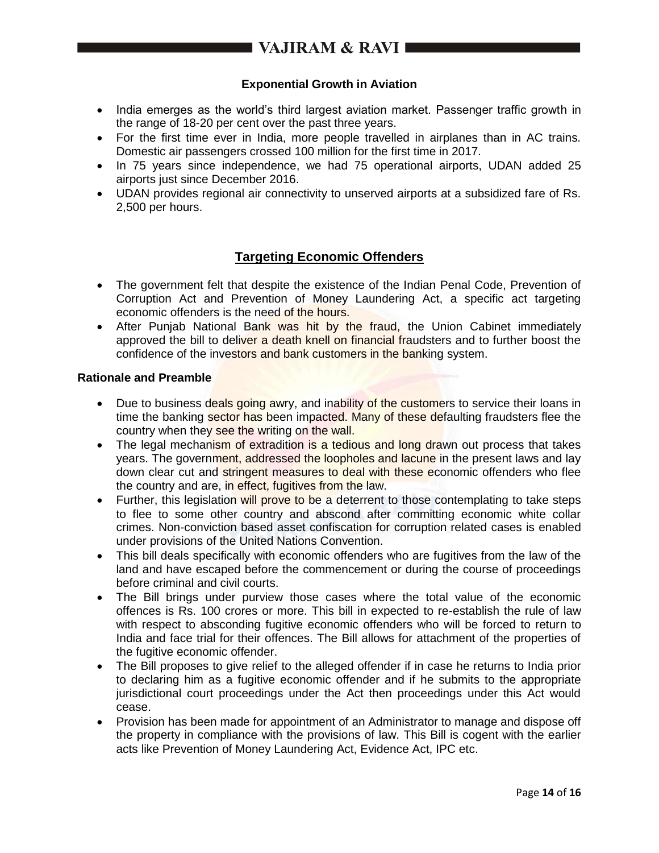# ■ VAJIRAM & RAVI ■■

# **Exponential Growth in Aviation**

- India emerges as the world's third largest aviation market. Passenger traffic growth in the range of 18-20 per cent over the past three years.
- For the first time ever in India, more people travelled in airplanes than in AC trains. Domestic air passengers crossed 100 million for the first time in 2017.
- In 75 years since independence, we had 75 operational airports, UDAN added 25 airports just since December 2016.
- UDAN provides regional air connectivity to unserved airports at a subsidized fare of Rs. 2,500 per hours.

# **Targeting Economic Offenders**

- The government felt that despite the existence of the Indian Penal Code, Prevention of Corruption Act and Prevention of Money Laundering Act, a specific act targeting economic offenders is the need of the hours.
- After Punjab National Bank was hit by the fraud, the Union Cabinet immediately approved the bill to deliver a death knell on financial fraudsters and to further boost the confidence of the investors and bank customers in the banking system.

## **Rationale and Preamble**

- Due to business deals going awry, and inability of the customers to service their loans in time the banking sector has been impacted. Many of these defaulting fraudsters flee the country when they see the writing on the wall.
- The legal mechanism of extradition is a tedious and long drawn out process that takes years. The government, addressed the loopholes and lacune in the present laws and lay down clear cut and stringent measures to deal with these economic offenders who flee the country and are, in effect, fugitives from the law.
- Further, this legislation will prove to be a deterrent to those contemplating to take steps to flee to some other country and abscond after committing economic white collar crimes. Non-conviction based asset confiscation for corruption related cases is enabled under provisions of the United Nations Convention.
- This bill deals specifically with economic offenders who are fugitives from the law of the land and have escaped before the commencement or during the course of proceedings before criminal and civil courts.
- The Bill brings under purview those cases where the total value of the economic offences is Rs. 100 crores or more. This bill in expected to re-establish the rule of law with respect to absconding fugitive economic offenders who will be forced to return to India and face trial for their offences. The Bill allows for attachment of the properties of the fugitive economic offender.
- The Bill proposes to give relief to the alleged offender if in case he returns to India prior to declaring him as a fugitive economic offender and if he submits to the appropriate jurisdictional court proceedings under the Act then proceedings under this Act would cease.
- Provision has been made for appointment of an Administrator to manage and dispose off the property in compliance with the provisions of law. This Bill is cogent with the earlier acts like Prevention of Money Laundering Act, Evidence Act, IPC etc.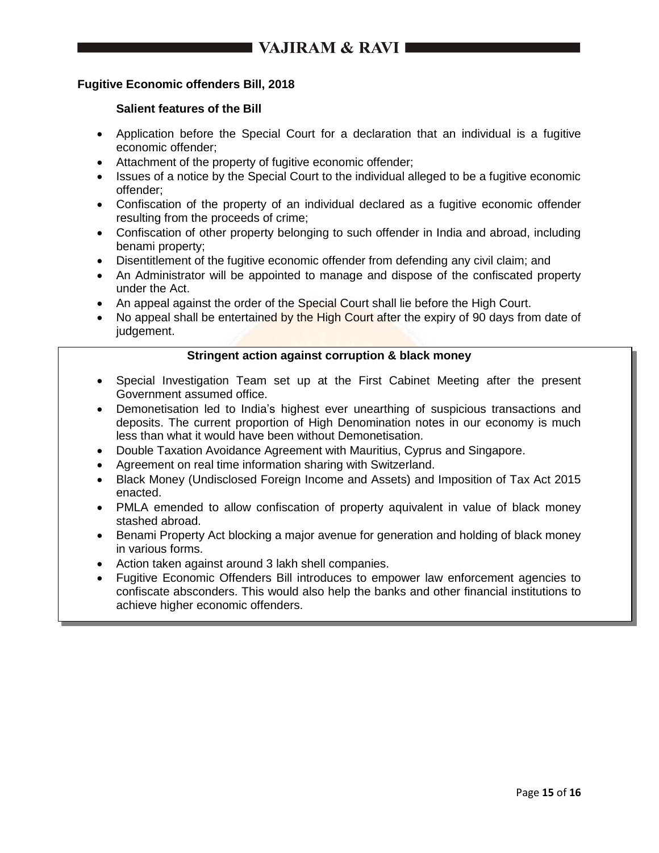# **Fugitive Economic offenders Bill, 2018**

# **Salient features of the Bill**

- Application before the Special Court for a declaration that an individual is a fugitive economic offender;
- Attachment of the property of fugitive economic offender;
- Issues of a notice by the Special Court to the individual alleged to be a fugitive economic offender;
- Confiscation of the property of an individual declared as a fugitive economic offender resulting from the proceeds of crime;
- Confiscation of other property belonging to such offender in India and abroad, including benami property;
- Disentitlement of the fugitive economic offender from defending any civil claim; and
- An Administrator will be appointed to manage and dispose of the confiscated property under the Act.
- An appeal against the order of the Special Court shall lie before the High Court.
- No appeal shall be entertained by the High Court after the expiry of 90 days from date of judgement.

# **Stringent action against corruption & black money**

- Special Investigation Team set up at the First Cabinet Meeting after the present Government assumed office.
- Demonetisation led to India's highest ever unearthing of suspicious transactions and deposits. The current proportion of High Denomination notes in our economy is much less than what it would have been without Demonetisation.
- Double Taxation Avoidance Agreement with Mauritius, Cyprus and Singapore.
- Agreement on real time information sharing with Switzerland.
- Black Money (Undisclosed Foreign Income and Assets) and Imposition of Tax Act 2015 enacted.
- PMLA emended to allow confiscation of property aquivalent in value of black money stashed abroad.
- Benami Property Act blocking a major avenue for generation and holding of black money in various forms.
- Action taken against around 3 lakh shell companies.
- Fugitive Economic Offenders Bill introduces to empower law enforcement agencies to confiscate absconders. This would also help the banks and other financial institutions to achieve higher economic offenders.